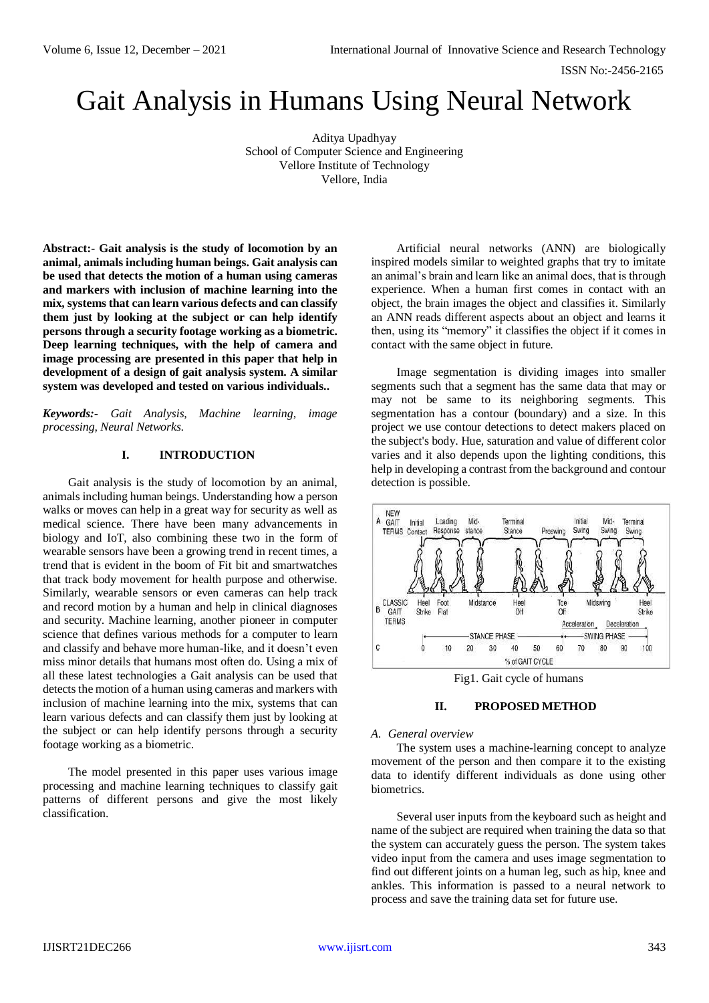ISSN No:-2456-2165

# Gait Analysis in Humans Using Neural Network

Aditya Upadhyay School of Computer Science and Engineering Vellore Institute of Technology Vellore, India

**Abstract:- Gait analysis is the study of locomotion by an animal, animals including human beings. Gait analysis can be used that detects the motion of a human using cameras and markers with inclusion of machine learning into the mix, systems that can learn various defects and can classify them just by looking at the subject or can help identify persons through a security footage working as a biometric. Deep learning techniques, with the help of camera and image processing are presented in this paper that help in development of a design of gait analysis system. A similar system was developed and tested on various individuals..** 

*Keywords:- Gait Analysis, Machine learning, image processing, Neural Networks.*

# **I. INTRODUCTION**

Gait analysis is the study of locomotion by an animal, animals including human beings. Understanding how a person walks or moves can help in a great way for security as well as medical science. There have been many advancements in biology and IoT, also combining these two in the form of wearable sensors have been a growing trend in recent times, a trend that is evident in the boom of Fit bit and smartwatches that track body movement for health purpose and otherwise. Similarly, wearable sensors or even cameras can help track and record motion by a human and help in clinical diagnoses and security. Machine learning, another pioneer in computer science that defines various methods for a computer to learn and classify and behave more human-like, and it doesn't even miss minor details that humans most often do. Using a mix of all these latest technologies a Gait analysis can be used that detects the motion of a human using cameras and markers with inclusion of machine learning into the mix, systems that can learn various defects and can classify them just by looking at the subject or can help identify persons through a security footage working as a biometric.

The model presented in this paper uses various image processing and machine learning techniques to classify gait patterns of different persons and give the most likely classification.

Artificial neural networks (ANN) are biologically inspired models similar to weighted graphs that try to imitate an animal's brain and learn like an animal does, that is through experience. When a human first comes in contact with an object, the brain images the object and classifies it. Similarly an ANN reads different aspects about an object and learns it then, using its "memory" it classifies the object if it comes in contact with the same object in future.

Image segmentation is dividing images into smaller segments such that a segment has the same data that may or may not be same to its neighboring segments. This segmentation has a contour (boundary) and a size. In this project we use contour detections to detect makers placed on the subject's body. Hue, saturation and value of different color varies and it also depends upon the lighting conditions, this help in developing a contrast from the background and contour detection is possible.



Fig1. Gait cycle of humans

# **II. PROPOSED METHOD**

#### *A. General overview*

The system uses a machine-learning concept to analyze movement of the person and then compare it to the existing data to identify different individuals as done using other biometrics.

Several user inputs from the keyboard such as height and name of the subject are required when training the data so that the system can accurately guess the person. The system takes video input from the camera and uses image segmentation to find out different joints on a human leg, such as hip, knee and ankles. This information is passed to a neural network to process and save the training data set for future use.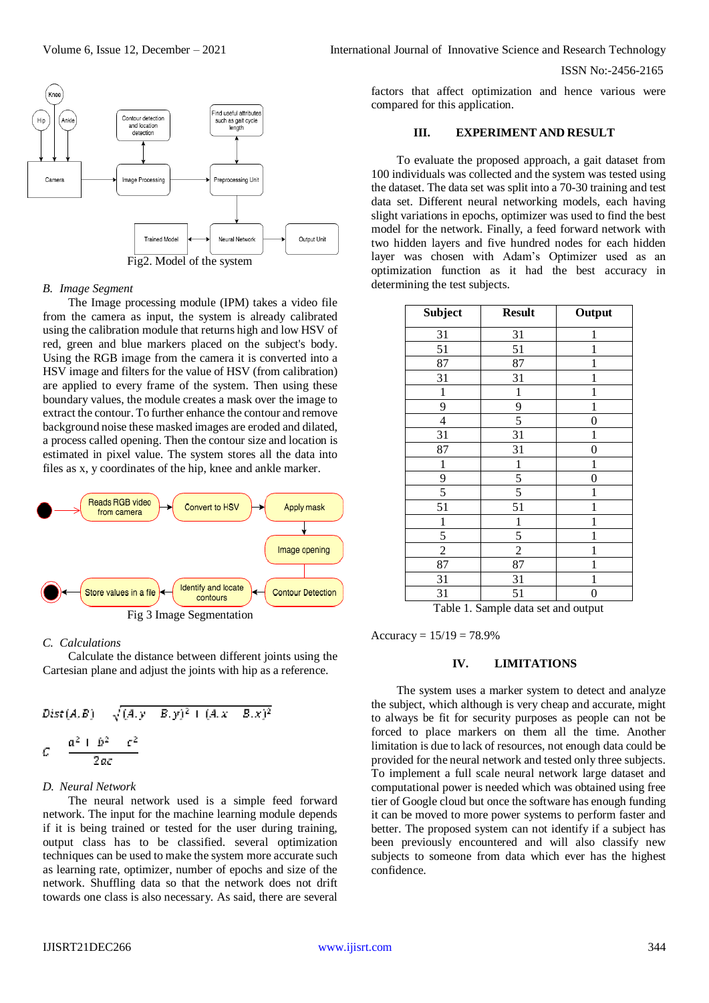ISSN No:-2456-2165



#### *B. Image Segment*

The Image processing module (IPM) takes a video file from the camera as input, the system is already calibrated using the calibration module that returns high and low HSV of red, green and blue markers placed on the subject's body. Using the RGB image from the camera it is converted into a HSV image and filters for the value of HSV (from calibration) are applied to every frame of the system. Then using these boundary values, the module creates a mask over the image to extract the contour. To further enhance the contour and remove background noise these masked images are eroded and dilated, a process called opening. Then the contour size and location is estimated in pixel value. The system stores all the data into files as x, y coordinates of the hip, knee and ankle marker.



#### *C. Calculations*

Calculate the distance between different joints using the Cartesian plane and adjust the joints with hip as a reference.

Dist(A, B) 
$$
\sqrt{(A, y - B, y)^2 + (A, x - B, x)^2}
$$
  

$$
C = \frac{a^2 + b^2 - c^2}{2ac}
$$

#### *D. Neural Network*

The neural network used is a simple feed forward network. The input for the machine learning module depends if it is being trained or tested for the user during training, output class has to be classified. several optimization techniques can be used to make the system more accurate such as learning rate, optimizer, number of epochs and size of the network. Shuffling data so that the network does not drift towards one class is also necessary. As said, there are several

factors that affect optimization and hence various were compared for this application.

## **III. EXPERIMENT AND RESULT**

To evaluate the proposed approach, a gait dataset from 100 individuals was collected and the system was tested using the dataset. The data set was split into a 70-30 training and test data set. Different neural networking models, each having slight variations in epochs, optimizer was used to find the best model for the network. Finally, a feed forward network with two hidden layers and five hundred nodes for each hidden layer was chosen with Adam's Optimizer used as an optimization function as it had the best accuracy in determining the test subjects.

| Subject                                        | <b>Result</b>            | Output            |
|------------------------------------------------|--------------------------|-------------------|
| 31                                             | 31                       | 1                 |
| 51                                             | 51                       | $\mathbf{1}$      |
| 87                                             | 87                       | 1                 |
| 31                                             | 31                       | 1                 |
| $\mathbf{1}$                                   | $\mathbf{1}$             | 1                 |
| 9                                              | 9                        | $\mathbf{1}$      |
| $\overline{4}$                                 | 5                        | $\overline{0}$    |
| 31                                             | 31                       | 1                 |
| 87                                             | 31                       | $\boldsymbol{0}$  |
| $\mathbf{1}$                                   | $\mathbf 1$              | 1                 |
| 9                                              | 5                        | $\overline{0}$    |
| 5                                              | 5                        | 1                 |
| 51                                             | 51                       | 1                 |
| $\mathbf{1}$                                   | $\mathbf{1}$             | 1                 |
| 5                                              | 5                        | $\mathbf{1}$      |
| $\overline{2}$                                 | $\overline{c}$           | 1                 |
| 87                                             | 87                       | 1                 |
| 31                                             | 31                       | 1                 |
| 31<br>$\mathbf{1}$<br>$\sim$<br>$\overline{ }$ | 51<br>х.<br>$\mathbf{I}$ | 0<br>$\mathbf{I}$ |

Table 1. Sample data set and output

Accuracy =  $15/19 = 78.9%$ 

## **IV. LIMITATIONS**

The system uses a marker system to detect and analyze the subject, which although is very cheap and accurate, might to always be fit for security purposes as people can not be forced to place markers on them all the time. Another limitation is due to lack of resources, not enough data could be provided for the neural network and tested only three subjects. To implement a full scale neural network large dataset and computational power is needed which was obtained using free tier of Google cloud but once the software has enough funding it can be moved to more power systems to perform faster and better. The proposed system can not identify if a subject has been previously encountered and will also classify new subjects to someone from data which ever has the highest confidence.